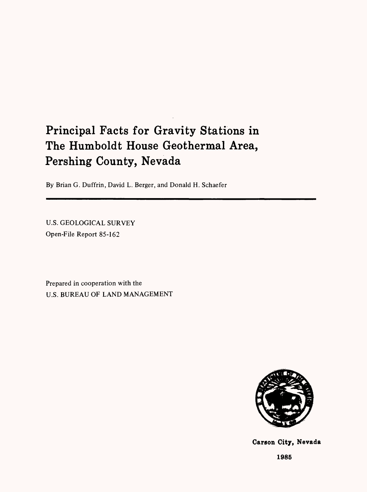# Principal Facts for Gravity Stations in The Humboldt House Geothermal Area, Pershing County, Nevada

By Brian G. Duffrin, David L. Berger, and Donald H. Schaefer

U.S. GEOLOGICAL SURVEY Open-File Report 85-162

Prepared in cooperation with the U.S. BUREAU OF LAND MANAGEMENT



**Carson City, Nevada**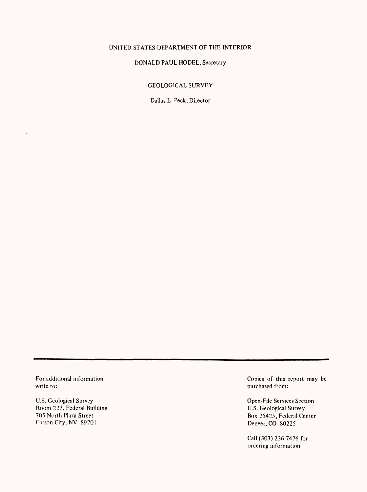# UNITED STATES DEPARTMENT OF THE INTERIOR

## DONALD PAUL MODEL, Secretary

#### GEOLOGICAL SURVEY

Dallas L. Peck, Director

write to: **purchased from:** purchased from: **purchased from:**  $\theta$ 

 $\bar{z}$ 

U.S. Geological Survey<br>
Room 227, Federal Building<br>
Room 227, Federal Building<br>
Open-File Services Section<br>
U.S. Geological Survey Room 227, Federal Building<br>705 North Plaza Street Carson City, NV 89701

For additional information Copies of this report may be

Box 25425, Federal Center<br>Denver, CO 80225

Call (303) 236-7476 for ordering information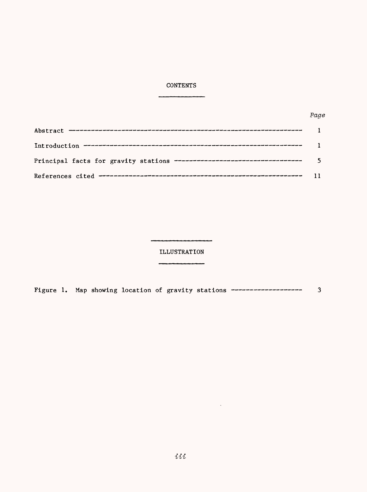# CONTENTS

-----

| Principal facts for gravity stations ----------------------------------- |  |
|--------------------------------------------------------------------------|--|
|                                                                          |  |

ILLUSTRATION

Figure 1. Map showing location of gravity stations -------------------- 3

 $\sim 10^{-11}$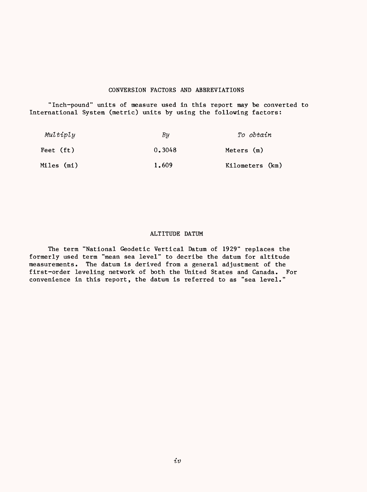## CONVERSION FACTORS AND ABBREVIATIONS

"Inch-pound" units of measure used in this report may be converted to International System (metric) units by using the following factors:

| Multiply   | Bи     | To obtain       |
|------------|--------|-----------------|
| Feet (ft)  | 0.3048 | Meters (m)      |
| Miles (mi) | 1.609  | Kilometers (km) |

### ALTITUDE DATUM

The term "National Geodetic Vertical Datum of 1929" replaces the formerly used term "mean sea level" to decribe the datum for altitude measurements. The datum is derived from a general adjustment of the first-order leveling network of both the United States and Canada. For convenience in this report, the datum is referred to as "sea level."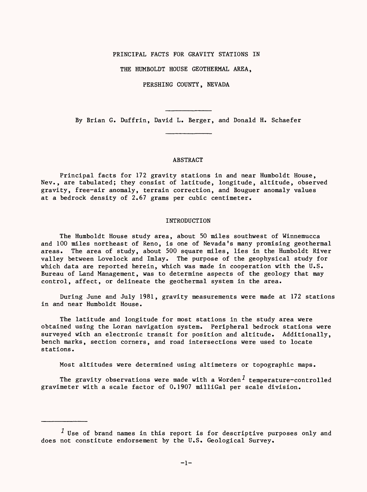#### PRINCIPAL FACTS FOR GRAVITY STATIONS IN

THE HUMBOLDT HOUSE GEOTHERMAL AREA,

PERSHING COUNTY, NEVADA

By Brian G. Duffrin, David L. Berger, and Donald H. Schaefer

#### ABSTRACT

Principal facts for 172 gravity stations in and near Humboldt House, Nev., are tabulated; they consist of latitude, longitude, altitude, observed gravity, free-air anomaly, terrain correction, and Bouguer anomaly values at a bedrock density of 2.67 grams per cubic centimeter.

#### INTRODUCTION

The Humboldt House study area, about 50 miles southwest of Winnemucca and 100 miles northeast of Reno, is one of Nevada's many promising geothermal areas. The area of study, about 500 square miles, lies in the Humboldt River valley between Lovelock and Imlay. The purpose of the geophysical study for which data are reported herein, which was made in cooperation with the U.S. Bureau of Land Management, was to determine aspects of the geology that may control, affect, or delineate the geothermal system in the area.

During June and July 1981, gravity measurements were made at 172 stations in and near Humboldt House.

The latitude and longitude for most stations in the study area were obtained using the Loran navigation system. Peripheral bedrock stations were surveyed with an electronic transit for position and altitude. Additionally, bench marks, section corners, and road intersections were used to locate stations.

Most altitudes were determined using altimeters or topographic maps.

The gravity observations were made with a Worden<sup>1</sup> temperature-controlled gravimeter with a scale factor of 0.1907 milliGal per scale division.

 $<sup>1</sup>$  Use of brand names in this report is for descriptive purposes only and</sup> does not constitute endorsement by the U.S. Geological Survey.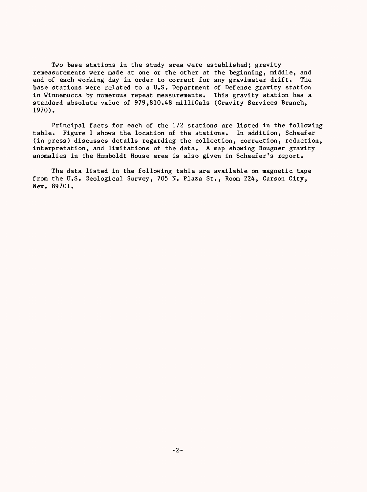Two base stations in the study area were established; gravity remeasurements were made at one or the other at the beginning, middle, and end of each working day in order to correct for any gravimeter drift. The base stations were related to a U.S. Department of Defense gravity station in Winnemucca by numerous repeat measurements. This gravity station has a standard absolute value of 979,810.48 milliGals (Gravity Services Branch, 1970).

Principal facts for each of the 172 stations are listed in the following table. Figure 1 shows the location of the stations. In addition, Schaefer (in press) discusses details regarding the collection, correction, reduction, interpretation, and limitations of the data. A map showing Bouguer gravity anomalies in the Humboldt House area is also given in Schaefer's report.

The data listed in the following table are available on magnetic tape from the U.S. Geological Survey, 705 N. Plaza St., Room 224, Carson City, Nev. 89701.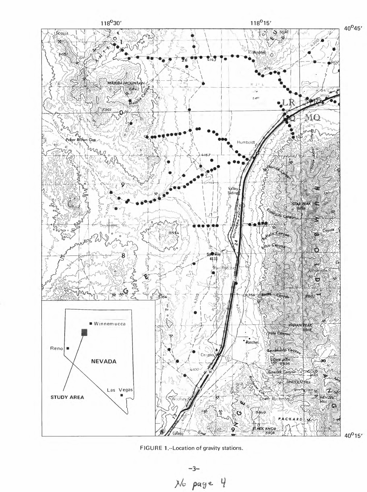



 $-3-$ <br> $x/c$  page  $4$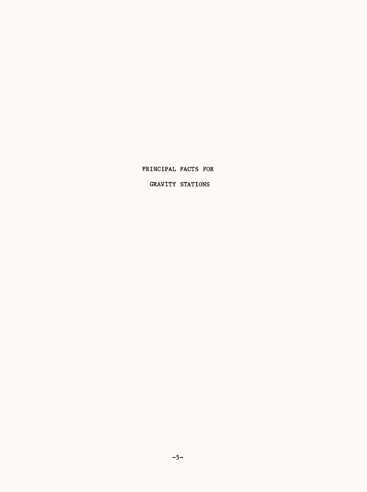PRINCIPAL FACTS FOR

GRAVITY STATIONS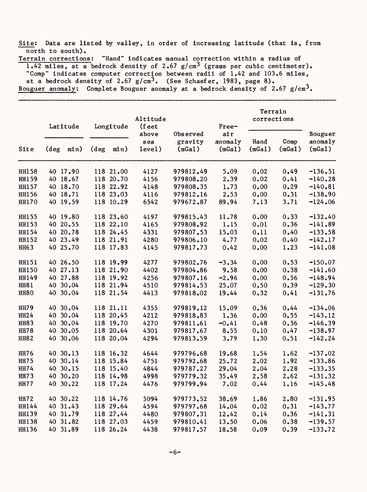Site: Data are listed by valley, in order of increasing latitude (that is, from north to south).

Terrain corrections: "Hand" indicates manual correction within a radius of  $1.42$  miles, at a bedrock density of 2.67 g/cm<sup>3</sup> (grams per cubic centimeter). "Comp" indicates computer correction between radii of 1.42 and 103.6 miles, at a bedrock density of  $2.67$  g/cm<sup>3</sup>. (See Schaefer, 1983, page 8). Bouguer anomaly: Complete Bouguer anomaly at a bedrock density of  $2.67$  g/cm<sup>3</sup>.

| Site         | Latitude |          | Longitude |           | Altitude<br>(feet      |                               | Free-                    | Terrain<br>corrections |                |                              |
|--------------|----------|----------|-----------|-----------|------------------------|-------------------------------|--------------------------|------------------------|----------------|------------------------------|
|              | (deg     | min)     | (deg      | min)      | above<br>sea<br>level) | Observed<br>gravity<br>(mGa1) | air<br>anomaly<br>(mGa1) | Hand<br>(mGa1)         | Comp<br>(mGa1) | Bouguer<br>anomaly<br>(mGa1) |
| <b>HH158</b> |          | 40 17.90 |           | 118 21.00 | 4127                   | 979812.49                     | 5.09                     | 0.02                   | 0.49           | $-136.51$                    |
| <b>HH159</b> |          | 40 18.67 |           | 118 20.70 | 4156                   | 979808.20                     | 2.39                     | 0.02                   | 0.41           | $-140.28$                    |
| <b>HH157</b> |          | 40 18.70 |           | 118 22.92 | 4148                   | 979808.35                     | 1.73                     | 0.00                   | 0.29           | $-140.81$                    |
| <b>HH156</b> |          | 40 18.71 |           | 118 23.03 | 4116                   | 979812.16                     | 2.53                     | 0.00                   | 0.31           | $-138.90$                    |
| <b>HH170</b> |          | 40 19.59 |           | 118 10.29 | 6542                   | 979672.87                     | 89.94                    | 7.13                   | 3.71           | $-124.06$                    |
| <b>HH155</b> |          | 40 19.80 |           | 118 23.60 | 4197                   | 979815.43                     | 11.78                    | 0.00                   | 0.33           | $-132.40$                    |
| <b>HH153</b> |          | 40 20.55 |           | 118 22.10 | 4165                   | 979808.92                     | 1.15                     | 0.01                   | 0.36           | $-141.89$                    |
| HH154        |          | 40 20.78 |           | 118 24.45 | 4331                   | 979807.53                     | 15.03                    | 0.11                   | 0.40           | $-133.58$                    |
| <b>HH152</b> |          | 40 23.49 |           | 118 21.91 | 4280                   | 979806.10                     | 4.77                     | 0.02                   | 0.40           | $-142.17$                    |
| <b>HH63</b>  |          | 40 25.70 |           | 118 17.83 | 4145                   | 979817.73                     | 0.42                     | 0.00                   | 1.23           | $-141.08$                    |
| HH151        |          | 40 26.50 |           | 118 19.99 | 4277                   | 979802.76                     | $-3.34$                  | 0.00                   | 0.53           | $-150.07$                    |
| <b>HH150</b> |          | 40 27.13 |           | 118 21.90 | 4402                   | 979804.86                     | 9.58                     | 0.00                   | 0.38           | $-141.60$                    |
| <b>HH149</b> |          | 40 27.88 |           | 118 19.92 | 4256                   | 979807.16                     | $-2.96$                  | 0.00                   | 0.56           | $-148.94$                    |
| <b>HH81</b>  |          | 40 30.04 |           | 118 21.94 | 4510                   | 979814.53                     | 25.07                    | 0.50                   | 0.39           | $-129.30$                    |
| HH80         |          | 40 30.04 |           | 118 21.54 | 4413                   | 979818.02                     | 19.44                    | 0.32                   | 0.41           | $-131.76$                    |
| <b>HH79</b>  |          | 40 30.04 |           | 118 21.11 | 4355                   | 979819.12                     | 15.09                    | 0.36                   | 0.44           | $-134.06$                    |
| <b>HH24</b>  |          | 40 30.04 |           | 118 20.45 | 4212                   | 979818.83                     | 1.36                     | 0.00                   | 0.55           | $-143.12$                    |
| <b>HH83</b>  |          | 40 30.04 |           | 118 19.70 | 4270                   | 979811.61                     | $-0.41$                  | 0.48                   | 0.56           | $-146.39$                    |
| <b>HH78</b>  |          | 40 30.05 |           | 118 20.64 | 4301                   | 979817.67                     | 8.55                     | 0.10                   | 0.47           | $-138.97$                    |
| <b>HH82</b>  |          | 40 30.06 |           | 118 20.04 | 4294                   | 979813.59                     | 3.79                     | 1.30                   | 0.51           | $-142.24$                    |
| <b>HH76</b>  |          | 40 30.13 |           | 118 16.32 | 4644                   | 979796.68                     | 19.68                    | 1.54                   | 1.62           | $-137.02$                    |
| <b>HH75</b>  |          | 40 30.14 |           | 118 15.84 | 4751                   | 979792.68                     | 25.72                    | 2.02                   | 1.92           | $-133.86$                    |
| <b>HH74</b>  |          | 40 30.15 |           | 118 15.40 | 4844                   | 979787.27                     | 29.04                    | 2.04                   | 2.28           | $-133.35$                    |
| <b>HH73</b>  |          | 40 30.20 |           | 118 14.98 | 4998                   | 979779.32                     | 35.49                    | 2.58                   | 2.62           | $-131.32$                    |
| <b>HH77</b>  |          | 40 30.22 |           | 118 17.24 | 4476                   | 979799.94                     | 7.02                     | 0.44                   | 1.16           | $-145.48$                    |
| <b>HH72</b>  |          | 40 30.22 |           | 118 14.76 | 5094                   | 979773.52                     | 38.69                    | 1.86                   | 2.80           | $-131.95$                    |
| HH144        |          | 40 31.43 |           | 118 29.64 | 4594                   | 979797.68                     | 14.04                    | 0.02                   | 0.31           | $-143.77$                    |
| <b>HH139</b> |          | 40 31.79 |           | 118 27.44 | 4480                   | 979807.31                     | 12.42                    | 0.14                   | 0.36           | $-141.31$                    |
| <b>HH138</b> |          | 40 31.82 |           | 118 27.03 | 4459                   | 979810.41                     | 13.50                    | 0.06                   | 0.38           | $-139.57$                    |
| <b>HH136</b> |          | 40 31.89 |           | 118 26.24 | 4438                   | 979817.57                     | 18.58                    | 0.09                   | 0.39           | $-133.72$                    |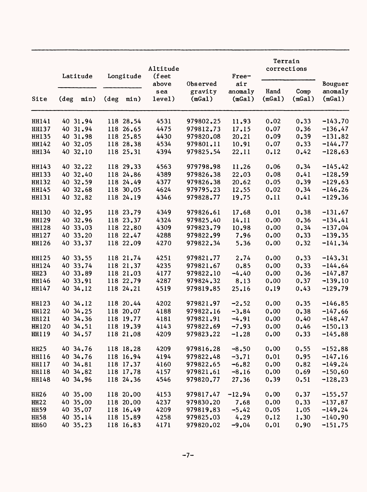| Site         | Latitude |          | Longitude      |           | Altitude<br>(feet      |                               | Free-                    | Terrain<br>corrections |                |                              |
|--------------|----------|----------|----------------|-----------|------------------------|-------------------------------|--------------------------|------------------------|----------------|------------------------------|
|              | $(\deg$  | min)     | $(\text{deg})$ | min)      | above<br>sea<br>level) | Observed<br>gravity<br>(mGa1) | air<br>anomaly<br>(mGa1) | Hand<br>(mGa1)         | Comp<br>(mGa1) | Bouguer<br>anomaly<br>(mGa1) |
| HH141        |          | 40 31.94 |                | 118 28.54 | 4531                   | 979802.25                     | 11.93                    | 0.02                   | 0.33           | $-143.70$                    |
| <b>HH137</b> |          | 40 31.94 |                | 118 26.65 | 4475                   | 979812.73                     | 17.15                    | 0.07                   | 0.36           | $-136, 47$                   |
| <b>HH135</b> |          | 40 31.98 |                | 118 25.85 | 4430                   | 979820.08                     | 20.21                    | 0.09                   | 0.39           | $-131,82$                    |
| HH142        |          | 40 32.05 |                | 118 28.38 | 4534                   | 979801.11                     | 10.91                    | 0.07                   | 0.33           | $-144.77$                    |
| <b>HH134</b> |          | 40 32.10 |                | 118 25.31 | 4394                   | 979825.54                     | 22.11                    | 0.12                   | 0.42           | $-128.63$                    |
| <b>HH143</b> |          | 40 32.22 |                | 118 29.33 | 4563                   | 979798.98                     | 11.26                    | 0.06                   | 0.34           | $-145.42$                    |
| <b>HH133</b> |          | 40 32.40 |                | 118 24.86 | 4389                   | 979826.38                     | 22.03                    | 0.08                   | 0.41           | $-128.59$                    |
| <b>HH132</b> |          | 40 32.59 |                | 118 24.49 | 4377                   | 979826.38                     | 20.62                    | 0.05                   | 0.39           | $-129.63$                    |
| HH145        |          | 40 32.68 |                | 118 30.05 | 4624                   | 979795.23                     | 12.55                    | 0.02                   | 0.34           | $-146.26$                    |
| <b>HH131</b> |          | 40 32.82 |                | 118 24.19 | 4346                   | 979828.77                     | 19.75                    | 0.11                   | 0.41           | $-129.36$                    |
| <b>HH130</b> |          | 40 32.95 |                | 118 23.79 | 4349                   | 979826.61                     | 17.68                    | 0.01                   | 0.38           | $-131.67$                    |
| <b>HH129</b> |          | 40 32.96 |                | 118 23.37 | 4324                   | 979825.40                     | 14.11                    | 0.00                   | 0.36           | $-134.41$                    |
| <b>HH128</b> |          | 40 33.03 |                | 118 22.80 | 4309                   | 979823.79                     | 10.98                    | 0.00                   | 0.34           | $-137.04$                    |
| HH127        |          | 40 33.20 |                | 118 22.47 | 4288                   | 979822.99                     | 7.96                     | 0.00                   | 0.33           | $-139.35$                    |
| HH126        |          | 40 33.37 |                | 118 22.09 | 4270                   | 979822.34                     | 5.36                     | 0.00                   | 0.32           | $-141.34$                    |
| <b>HH125</b> |          | 40 33.55 |                | 118 21.74 | 4251                   | 979821.77                     | 2.74                     | 0.00                   | 0.33           | $-143.31$                    |
| HH124        |          | 40 33.74 |                | 118 21.37 | 4235                   | 979821.67                     | 0.85                     | 0.00                   | 0.33           | $-144.64$                    |
| HH23         |          | 40 33.89 |                | 118 21.03 | 4177                   | 979822.10                     | $-4.40$                  | 0.00                   | 0.36           | $-147.87$                    |
| HH146        |          | 40 33.91 |                | 118 22.79 | 4287                   | 979824.32                     | 8.13                     | 0.00                   | 0.37           | $-139.10$                    |
| HH147        |          | 40 34.12 |                | 118 24.21 | 4519                   | 979819.85                     | 25.16                    | 0.19                   | 0.43           | $-129.79$                    |
| <b>HH123</b> |          | 40 34.12 |                | 118 20.44 | 4202                   | 979821.97                     | $-2.52$                  | 0.00                   | 0.35           | $-146.85$                    |
| <b>HH122</b> |          | 40 34.25 |                | 118 20.07 | 4188                   | 979822.16                     | $-3.84$                  | 0.00                   | 0.38           | $-147.66$                    |
| HH121        |          | 40 34.36 |                | 118 19.77 | 4181                   | 979821.91                     | $-4.91$                  | 0.00                   | 0.40           | $-148.47$                    |
| <b>HH120</b> |          | 40 34.51 |                | 118 19.39 | 4143                   | 979822.69                     | $-7.93$                  | 0.00                   | 0.46           | $-150.13$                    |
| HH119        |          | 40 34.57 |                | 118 21.08 | 4209                   | 979823.22                     | $-1.28$                  | 0.00                   | 0.33           | $-145.88$                    |
| HH25         |          | 40 34.76 |                | 118 18.28 | 4209                   | 979816.28                     | $-8.50$                  | 0.00                   | 0.55           | $-152.88$                    |
| <b>HH116</b> |          | 40 34.76 |                | 118 16.94 | 4194                   | 979822.48                     | $-3.71$                  | 0.01                   | 0.95           | $-147.16$                    |
| <b>HH117</b> |          | 40 34.81 |                | 118 17.37 | 4160                   | 979822.65                     | $-6.82$                  | 0.00                   | 0.82           | $-149.24$                    |
| <b>HH118</b> |          | 40 34.82 |                | 118 17.78 | 4157                   | 979821.61                     | $-8.16$                  | 0.00                   | 0.69           | $-150.60$                    |
| HH148        |          | 40 34.96 |                | 118 24.36 | 4546                   | 979820.77                     | 27.36                    | 0.39                   | 0.51           | $-128.23$                    |
| <b>HH26</b>  |          | 40 35.00 |                | 118 20.00 | 4153                   | 979817.47                     | $-12.94$                 | 0.00                   | 0.37           | $-155.57$                    |
| <b>HH22</b>  |          | 40 35.00 |                | 118 20.00 | 4237                   | 979830.20                     | 7.68                     | 0.00                   | 0.33           | $-137.87$                    |
| <b>HH59</b>  |          | 40 35.07 |                | 118 16.49 | 4209                   | 979819.83                     | $-5.42$                  | 0.05                   | 1.05           | $-149.24$                    |
| <b>HH58</b>  |          | 4035.14  |                | 118 15.89 | 4258                   | 979825.03                     | 4.29                     | 0.12                   | 1.30           | $-140.90$                    |
| <b>HH60</b>  |          | 40 35.23 |                | 118 16.83 | 4171                   | 979820.02                     | $-9.04$                  | 0.01                   | 0.90           | $-151.75$                    |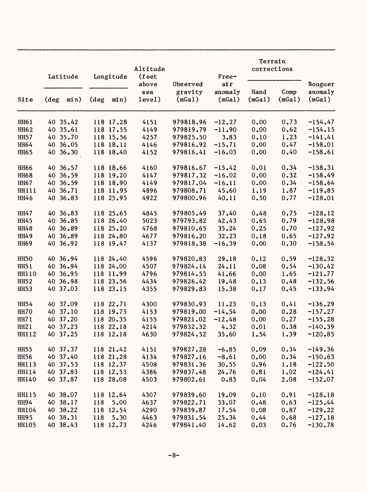|                  |                | Latitude |                | Longitude | Altitude        |                   | Free-             | Terrain<br>corrections |                |                   |
|------------------|----------------|----------|----------------|-----------|-----------------|-------------------|-------------------|------------------------|----------------|-------------------|
|                  |                |          |                |           | (feet)<br>above | Observed          | air               |                        |                | Bouguer           |
| Site             | $(\text{deg})$ | min)     | $(\text{deg})$ | min)      | sea<br>level)   | gravity<br>(mGa1) | anomaly<br>(mGa1) | Hand<br>(mGa1)         | Comp<br>(mGa1) | anomaly<br>(mGa1) |
| HH61             |                | 40 35.42 |                | 118 17.28 | 4151            | 979818.96         | $-12.27$          | 0.00                   | 0.73           | $-154.47$         |
| <b>HH62</b>      |                | 40 35.61 |                | 118 17.55 | 4149            | 979819.79         | $-11.90$          | 0.00                   | 0.62           | $-154.15$         |
| <b>HH57</b>      |                | 40 35.70 |                | 118 15.56 | 4257            | 979825.50         | 3.83              | 0.10                   | 1.23           | $-141.41$         |
| <b>HH64</b>      |                | 40 36.05 |                | 118 18.11 | 4146            | 979816.92         | $-15.71$          | 0.00                   | 0.47           | $-158.01$         |
| <b>HH65</b>      |                | 40 36.30 |                | 118 18.40 | 4152            | 979816.41         | $-16.03$          | 0.00                   | 0.40           | $-158.61$         |
| <b>HH66</b>      |                | 40 36.57 |                | 118 18.66 | 4160            | 979816.67         | $-15.42$          | 0.01                   | 0.34           | $-158.31$         |
| <b>HH68</b>      |                | 40 36.59 |                | 118 19.20 | 4147            | 979817.32         | $-16.02$          | 0.00                   | 0.32           | $-158.49$         |
| <b>HH67</b>      |                | 40 36.59 |                | 118 18.90 | 4149            | 979817.04         | $-16.11$          | 0.00                   | 0.34           | $-158.64$         |
| <b>HH111</b>     |                | 40 36.71 |                | 118 11.95 | 4896            | 979808.71         | 45.60             | 1.19                   | 1.87           | $-119.85$         |
| <b>HH46</b>      |                | 40 36.83 |                | 118 25.95 | 4922            | 979800.96         | 40.11             | 0.50                   | 0.77           | $-128.01$         |
| HH47             |                | 40 36.83 |                | 118 25.65 | 4845            | 979805.49         | 37.40             | 0.48                   | 0.75           | $-128.12$         |
| <b>HH45</b>      |                | 40 36.85 |                | 118 26.40 | 5023            | 979793.82         | 42.43             | 0.65                   | 0.79           | $-128.98$         |
| <b>HH48</b>      |                | 40 36.89 |                | 118 25.20 | 4768            | 979810.65         | 35.24             | 0.25                   | 0.70           | $-127.92$         |
| HH49             |                | 40 36.89 |                | 118 24.80 | 4677            | 979816.20         | 32.23             | 0.18                   | 0.65           | $-127.92$         |
| <b>HH69</b>      |                | 40 36.92 |                | 118 19.47 | 4137            | 979818.38         | $-16.39$          | 0.00                   | 0.30           | $-158.54$         |
| HH <sub>50</sub> |                | 40 36.94 |                | 118 24.40 | 4596            | 979820.83         | 29.18             | 0.12                   | 0.59           | $-128.32$         |
| <b>HH51</b>      |                | 40 36.94 |                | 118 24.00 | 4507            | 979824.14         | 24.11             | 0.08                   | 0.54           | $-130.42$         |
| HH110            |                | 40 36.95 |                | 118 11.99 | 4796            | 979814.53         | 41.66             | 0.00                   | 1.65           | $-121.77$         |
| <b>HH52</b>      |                | 40 36.98 |                | 118 23.56 | 4434            | 979826.42         | 19.48             | 0.13                   | 0.48           | $-132.56$         |
| <b>HH53</b>      |                | 40 37.03 |                | 118 23.15 | 4355            | 979829.83         | 15.38             | 0.17                   | 0.45           | $-133.94$         |
| <b>HH54</b>      |                | 40 37.09 |                | 118 22.71 | 4300            | 979830.93         | 11.23             | 0.13                   | 0.41           | $-136.29$         |
| HH70             |                | 40 37.10 |                | 118 19.75 | 4153            | 979819.00         | $-14.54$          | 0.00                   | 0.28           | $-157.27$         |
| <b>HH71</b>      |                | 40 37.20 |                | 118 20.35 | 4155            | 979821.02         | $-12.48$          | 0.00                   | 0.27           | $-155.28$         |
| <b>HH21</b>      |                | 40 37.23 |                | 118 22.18 | 4214            | 979832.32         | 4.32              | 0.01                   | 0.38           | $-140.39$         |
| <b>HH112</b>     |                | 40 37.25 |                | 118 12.18 | 4630            | 979824.52         | 35.60             | 1.54                   | 1.39           | $-120.85$         |
| <b>HH55</b>      |                | 40 37.37 |                | 118 21.42 | 4151            | 979827.28         | $-6.85$           | 0.09                   | 0.34           | $-149.36$         |
| <b>HH56</b>      |                | 40 37.40 |                | 118 21.28 | 4134            | 979827.16         | $-8.61$           | 0.00                   | 0.34           | $-150.63$         |
| HH113            |                | 40 37.53 |                | 118 12.37 | 4508            | 979831.36         | 30.55             | 0.96                   | 1.18           | $-122.50$         |
| HH114            |                | 40 37.83 |                | 118 12.53 | 4386            | 979837.48         | 24.76             | 0.81                   | 1.02           | $-124.41$         |
| HH140            |                | 40 37.87 |                | 118 28.08 | 4503            | 979802.61         | 0.83              | 0.04                   | 2.08           | $-152.07$         |
| <b>HH115</b>     |                | 40 38.07 |                | 118 12.64 | 4307            | 979839.60         | 19.09             | 0.10                   | 0.91           | $-128.18$         |
| HH94             |                | 40 38.17 | 118            | 5.00      | 4637            | 979822.71         | 33.07             | 0.48                   | 0.63           | $-125.44$         |
| HH104            |                | 40 38.22 |                | 118 12.54 | 4290            | 979839.87         | 17.54             | 0.08                   | 0.87           | $-129.22$         |
| <b>HH95</b>      |                | 40 38.31 | 118            | 5.30      | 4463            | 979831.54         | 25.34             | 0.44                   | 0.68           | $-127.18$         |
| <b>HH105</b>     |                | 40 38.43 |                | 118 12.73 | 4246            | 979841.40         | 14.62             | 0.03                   | 0.76           | $-130.78$         |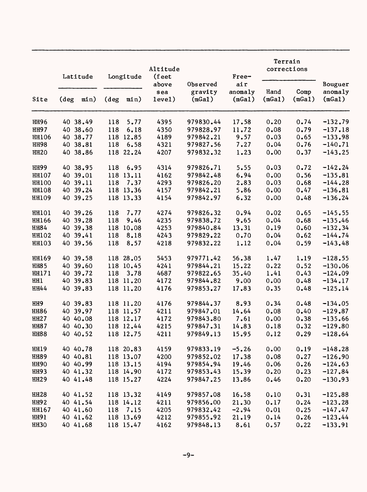| Site            | Latitude       |          | Longitude      |           | Altitude<br>(feet      |                               | Free-                    | Terrain<br>corrections |                |                              |
|-----------------|----------------|----------|----------------|-----------|------------------------|-------------------------------|--------------------------|------------------------|----------------|------------------------------|
|                 | $(\text{deg})$ | min)     | $(\text{deg})$ | min)      | above<br>sea<br>level) | Observed<br>gravity<br>(mGa1) | air<br>anomaly<br>(mGa1) | Hand<br>(mGa1)         | Comp<br>(mGa1) | Bouguer<br>anomaly<br>(mGa1) |
| <b>HH96</b>     |                | 40 38.49 | 118            | 5.77      | 4395                   | 979830.44                     | 17.58                    | 0.20                   | 0.74           | $-132.79$                    |
| <b>HH97</b>     |                | 40 38.60 | 118            | 6.18      | 4350                   | 979828.97                     | 11.72                    | 0.08                   | 0.79           | $-137.18$                    |
| <b>HH106</b>    |                | 40 38.77 | 118            | 12.85     | 4189                   | 979842.21                     | 9.57                     | 0.03                   | 0.65           | $-133.98$                    |
| <b>HH98</b>     |                | 40 38.81 | 118            | 6.58      | 4321                   | 979827.56                     | 7.27                     | 0.04                   | 0.76           | $-140.71$                    |
| <b>HH20</b>     |                | 40 38.86 |                | 118 22.24 | 4207                   | 979832.32                     | 1.23                     | 0.00                   | 0.37           | $-143.25$                    |
| <b>HH99</b>     |                | 40 38.95 | 118            | 6.95      | 4314                   | 979826.71                     | 5.55                     | 0.03                   | 0.72           | $-142.24$                    |
| <b>HH107</b>    |                | 40 39.01 |                | 118 13.11 | 4162                   | 979842.48                     | 6.94                     | 0.00                   | 0.56           | $-135.81$                    |
| <b>HH100</b>    |                | 40 39.11 | 118            | 7.37      | 4293                   | 979826.20                     | 2.83                     | 0.03                   | 0.68           | $-144.28$                    |
| <b>HH108</b>    |                | 40 39.24 |                | 118 13.36 | 4157                   | 979842.21                     | 5.86                     | 0.00                   | 0.47           | $-136.81$                    |
| <b>HH109</b>    |                | 40 39.25 |                | 118 13.33 | 4154                   | 979842.97                     | 6.32                     | 0.00                   | 0.48           | $-136.24$                    |
| <b>HH101</b>    |                | 40 39.26 | 118            | 7.77      | 4274                   | 979826.32                     | 0.94                     | 0.02                   | 0.65           | $-145.55$                    |
| HH166           |                | 40 39.28 | 118            | 9.46      | 4235                   | 979838.72                     | 9.65                     | 0.04                   | 0.68           | $-135.46$                    |
| HH84            |                | 40 39.38 | 118            | 10.08     | 4253                   | 979840.84                     | 13.31                    | 0.19                   | 0.60           | $-132.34$                    |
| <b>HH102</b>    |                | 40 39.41 | 118            | 8.18      | 4243                   | 979829.22                     | 0.70                     | 0.04                   | 0.62           | $-144.74$                    |
| <b>HH103</b>    |                | 40 39.56 | 118            | 8.57      | 4218                   | 979832.22                     | 1.12                     | 0.04                   | 0.59           | $-143.48$                    |
| HH169           |                | 40 39.58 |                | 118 28.05 | 5453                   | 979771.42                     | 56.38                    | 1.47                   | 1.19           | $-128.55$                    |
| <b>HH85</b>     |                | 40 39.60 |                | 118 10.45 | 4241                   | 979844.21                     | 15.22                    | 0.22                   | 0.52           | $-130.06$                    |
| HH171           |                | 40 39.72 | 118            | 3.78      | 4687                   | 979822.65                     | 35.40                    | 1.41                   | 0.43           | $-124.09$                    |
| HH <sub>1</sub> |                | 40 39.83 |                | 118 11.20 | 4172                   | 979844.82                     | 9.00                     | 0.00                   | 0.48           | $-134.17$                    |
| HH44            |                | 40 39.83 |                | 118 11.20 | 4176                   | 979853.27                     | 17.83                    | 0.35                   | 0.48           | $-125.14$                    |
| HH9             |                | 40 39.83 |                | 118 11.20 | 4176                   | 979844.37                     | 8.93                     | 0.34                   | 0.48           | $-134.05$                    |
| <b>HH86</b>     |                | 40 39.97 |                | 118 11.57 | 4211                   | 979847.01                     | 14.64                    | 0.08                   | 0.40           | $-129.87$                    |
| <b>HH27</b>     |                | 40 40.08 |                | 118 12.17 | 4172                   | 979843.80                     | 7.61                     | 0.00                   | 0.38           | $-135.66$                    |
| <b>HH87</b>     |                | 40 40.30 |                | 118 12.44 | 4215                   | 979847.31                     | 14.83                    | 0.18                   | 0.32           | $-129.80$                    |
| <b>HH88</b>     |                | 40 40.52 |                | 118 12.75 | 4211                   | 979849.13                     | 15.95                    | 0.12                   | 0.29           | $-128.64$                    |
| <b>HH19</b>     |                | 40 40.78 |                | 118 20.83 | 4159                   | 979833.19                     | $-5.26$                  | 0.00                   | 0.19           | $-148.28$                    |
| <b>HH89</b>     |                | 40 40.81 |                | 118 13.07 | 4200                   | 979852.02                     | 17.38                    | 0.08                   | 0.27           | $-126.90$                    |
| <b>HH90</b>     |                | 40 40.99 |                | 118 13.15 | 4194                   | 979854.94                     | 19.46                    | 0.06                   | 0.26           | $-124.63$                    |
| <b>HH93</b>     |                | 40 41.32 |                | 118 14.90 | 4172                   | 979853.43                     | 15.39                    | 0.20                   | 0.23           | $-127.84$                    |
| <b>HH29</b>     |                | 40 41.48 |                | 118 15.27 | 4224                   | 979847.25                     | 13.86                    | 0.46                   | $0 - 20$       | $-130.93$                    |
| <b>HH28</b>     |                | 40 41.52 |                | 118 13.32 | 4149                   | 979857.08                     | 16.58                    | 0.10                   | 0.31           | $-125.88$                    |
| <b>HH92</b>     |                | 40 41.54 |                | 118 14.12 | 4211                   | 979856.00                     | 21.30                    | 0.17                   | 0.24           | $-123.28$                    |
| HH167           |                | 40 41.60 |                | 118 7.15  | 4205                   | 979832.42                     | $-2.94$                  | 0.01                   | 0.25           | $-147.47$                    |
| <b>HH91</b>     |                | 40 41.62 |                | 118 13.69 | 4212                   | 979855.92                     | 21.19                    | 0.14                   | 0.26           | $-123.44$                    |
| <b>HH30</b>     |                | 40 41.68 |                | 118 15.47 | 4162                   | 979848.13                     | 8.61                     | 0.57                   | 0.22           | $-133.91$                    |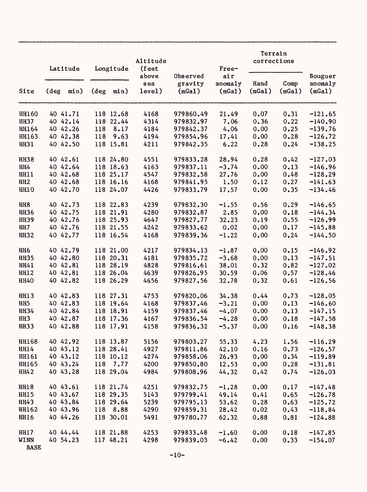| Site                       |               | Latitude |                | Longitude | Altitude<br>(feet      |                               | Free-                    | Terrain<br>corrections |                |                              |
|----------------------------|---------------|----------|----------------|-----------|------------------------|-------------------------------|--------------------------|------------------------|----------------|------------------------------|
|                            | $(\text{deg}$ | min)     | $(\text{deg})$ | min)      | above<br>sea<br>level) | Observed<br>gravity<br>(mGa1) | air<br>anomaly<br>(mGa1) | Hand<br>(mGa1)         | Comp<br>(mGa1) | Bouguer<br>anomaly<br>(mGa1) |
| HH160                      |               | 40 41.71 |                | 118 12.68 | 4168                   | 979860.49                     | 21.49                    | 0.07                   | 0.31           | $-121.65$                    |
| <b>HH37</b>                |               | 40 42.14 |                | 118 22.44 | 4314                   | 979832.97                     | 7.06                     | 0.36                   | 0.22           | $-140.90$                    |
| HH164                      |               | 40 42.26 | 118            | 8.17      | 4184                   | 979842.37                     | 4.06                     | 0.00                   | 0.25           | $-139.76$                    |
| HH163                      |               | 40 42.38 | 118            | 9.63      | 4194                   | 979854.96                     | 17.41                    | 0.00                   | 0.28           | $-126.72$                    |
| <b>HH31</b>                |               | 40 42.50 |                | 118 15.81 | 4211                   | 979842.35                     | 6.22                     | 0.28                   | 0.24           | $-138.25$                    |
| <b>HH38</b>                |               | 40 42.61 |                | 118 24.80 | 4551                   | 979833.28                     | 28.94                    | 0.28                   | 0.42           | $-127.03$                    |
| HH4                        |               | 40 42.64 |                | 118 18.63 | 4163                   | 979837.11                     | $-3.74$                  | 0.00                   | 0.13           | $-146.96$                    |
| HH11                       |               | 40 42.68 |                | 118 25.17 | 4547                   | 979832.58                     | 27.76                    | 0.00                   | 0.48           | $-128.29$                    |
| HH <sub>2</sub>            |               | 40 42.68 |                | 118 16.16 | 4168                   | 979841.95                     | 1.50                     | 0.12                   | 0.27           | $-141.63$                    |
| HH10                       |               | 40 42.70 |                | 118 24.07 | 4426                   | 979833.79                     | 17.57                    | 0.00                   | 0.35           | $-134.46$                    |
| HH <sub>8</sub>            |               | 40 42.73 |                | 118 22.83 | 4239                   | 979832.30                     | $-1.55$                  | 0.56                   | 0.29           | $-146.65$                    |
| <b>HH36</b>                |               | 40 42.75 |                | 118 21.91 | 4280                   | 979832.87                     | 2.85                     | 0.00                   | 0.18           | $-144.34$                    |
| <b>HH39</b>                |               | 40 42.76 |                | 118 25.93 | 4647                   | 979827.77                     | 32.23                    | 0.19                   | 0.55           | $-126.99$                    |
| HH <sub>7</sub>            |               | 40 42.76 |                | 118 21.55 | 4242                   | 979833.62                     | 0.02                     | 0.00                   | 0.17           | $-145.88$                    |
| <b>HH32</b>                |               | 40 42.77 |                | 118 16.54 | 4168                   | 979839.36                     | $-1.22$                  | 0.00                   | 0.24           | $-144.50$                    |
| HH <sub>6</sub>            |               | 40 42.79 |                | 118 21.00 | 4217                   | 979834.13                     | $-1.87$                  | 0.00                   | 0.15           | $-146.92$                    |
| <b>HH35</b>                |               | 40 42.80 |                | 118 20.31 | 4181                   | 979835.72                     | $-3.68$                  | 0.00                   | 0.13           | $-147.51$                    |
| HH41                       |               | 40 42.81 |                | 118 28.19 | 4828                   | 979816.61                     | 38.01                    | 0.32                   | 0.82           | $-127.02$                    |
| HH12                       |               | 40 42.81 |                | 118 26.04 | 4639                   | 979826.95                     | 30.59                    | 0.06                   | 0.57           | $-128.46$                    |
| <b>HH40</b>                |               | 40 42.82 |                | 118 26.29 | 4656                   | 979827.56                     | 32.78                    | 0.32                   | 0.61           | $-126.56$                    |
| <b>HH13</b>                |               | 40 42.83 |                | 118 27.31 | 4753                   | 979820.06                     | 34.38                    | 0.44                   | 0.73           | $-128.05$                    |
| HH <sub>5</sub>            |               | 40 42.83 |                | 118 19.64 | 4168                   | 979837.46                     | $-3.21$                  | 0.00                   | 0.13           | $-146.60$                    |
| <b>HH34</b>                |               | 40 42.84 |                | 118 18.91 | 4159                   | 979837.46                     | $-4.07$                  | 0.00                   | 0.13           | $-147.15$                    |
| HH <sub>3</sub>            |               | 40 42.87 |                | 118 17.36 | 4167                   | 979836.54                     | $-4.28$                  | 0.00                   | 0.18           | $-147.58$                    |
| <b>HH33</b>                |               | 40 42.88 |                | 118 17.91 | 4158                   | 979836.32                     | $-5.37$                  | 0.00                   | 0.16           | $-148.38$                    |
| HH168                      |               | 40 42.92 |                | 118 13.87 | 5156                   | 979803.27                     | 55.33                    | 4.23                   | 1.56           | $-116.29$                    |
| HH14                       |               | 40 43.12 |                | 118 28.41 | 4927                   | 979811.86                     | 42.10                    | 0.16                   | 0.73           | $-126.57$                    |
| HH161                      |               | 40 43.12 |                | 118 10.12 | 4274                   | 979858.06                     | 26.93                    | 0.00                   | 0.34           | $-119.89$                    |
| HH165                      |               | 40 43.24 |                | 118 7.77  | 4200                   | 979850.80                     | 12.53                    | 0.00                   | 0.28           | $-131.81$                    |
| <b>HH42</b>                |               | 40 43.28 |                | 118 29.04 | 4984                   | 979808.96                     | 44.32                    | 0.42                   | 0.74           | $-126.03$                    |
| <b>HH18</b>                |               | 40 43.61 |                | 118 21.74 | 4251                   | 979832.75                     | $-1.28$                  | 0.00                   | 0.17           | $-147.48$                    |
| <b>HH15</b>                |               | 40 43.67 |                | 118 29.35 | 5143                   | 979799.41                     | 49.14                    | 0.41                   | 0.65           | $-126.78$                    |
| HH43                       |               | 40 43.84 |                | 118 29.64 | 5239                   | 979795.13                     | 53.62                    | 0.28                   | 0.63           | $-125.72$                    |
| HH162                      |               | 40 43.96 |                | 118 8.88  | 4290                   | 979859.31                     | 28.42                    | 0.02                   | 0.43           | $-118.84$                    |
| <b>HH16</b>                |               | 40 44.26 |                | 118 30.01 | 5491                   | 979780.77                     | 62.32                    | 0.88                   | 0.81           | $-124.88$                    |
| <b>HH17</b>                |               | 40 44.44 |                | 118 21.88 | 4253                   | 979833.48                     | $-1.60$                  | 0.00                   | 0.18           | $-147.85$                    |
| <b>WINN</b><br><b>BASE</b> |               | 40 54.23 |                | 117 48.21 | 4298                   | 979839.03                     | $-6.42$                  | 0.00                   | 0.33           | $-154.07$                    |